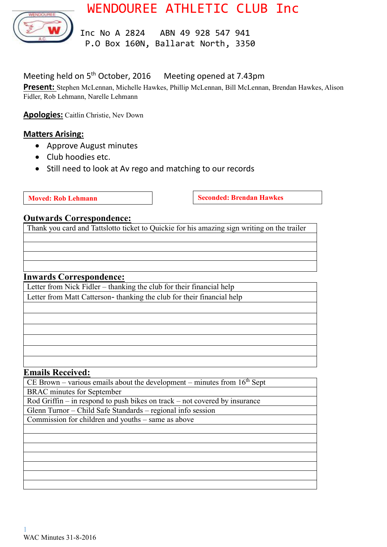

# WENDOUREE ATHLETIC CLUB Inc

 Inc No A 2824 ABN 49 928 547 941 P.O Box 160N, Ballarat North, 3350

# Meeting held on 5<sup>th</sup> October, 2016 Meeting opened at 7.43pm

**Present:** Stephen McLennan, Michelle Hawkes, Phillip McLennan, Bill McLennan, Brendan Hawkes, Alison Fidler, Rob Lehmann, Narelle Lehmann

**Apologies:** Caitlin Christie, Nev Down

#### **Matters Arising:**

- Approve August minutes
- Club hoodies etc.
- Still need to look at Av rego and matching to our records

**Moved:** Rob Lehmann **Seconded:** Brendan Hawkes

#### **Outwards Correspondence:**

Thank you card and Tattslotto ticket to Quickie for his amazing sign writing on the trailer

#### **Inwards Correspondence:**

Letter from Nick Fidler – thanking the club for their financial help Letter from Matt Catterson- thanking the club for their financial help

#### **Emails Received:**

CE Brown – various emails about the development – minutes from  $16<sup>th</sup>$  Sept BRAC minutes for September

Rod Griffin – in respond to push bikes on track – not covered by insurance

Glenn Turnor – Child Safe Standards – regional info session

Commission for children and youths – same as above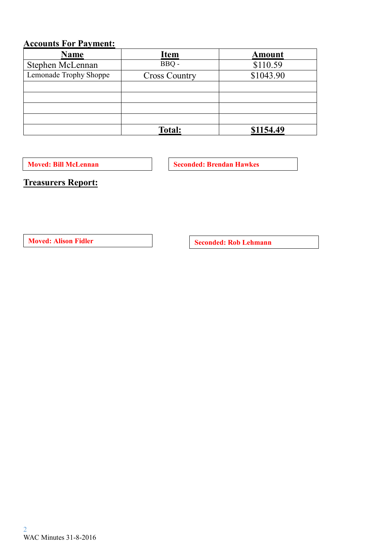# **Accounts For Payment:**

| <b>Name</b>            | <b>Item</b>          | <b>Amount</b> |
|------------------------|----------------------|---------------|
| Stephen McLennan       | BBQ -                | \$110.59      |
| Lemonade Trophy Shoppe | <b>Cross Country</b> | \$1043.90     |
|                        |                      |               |
|                        |                      |               |
|                        |                      |               |
|                        |                      |               |
|                        | <b>Total:</b>        | \$1154.49     |

**Moved: Bill McLennan Seconded: Brendan Hawkes** 

**Treasurers Report:**

**Moved:** Alison Fidler **Seconded:** Rob Lehmann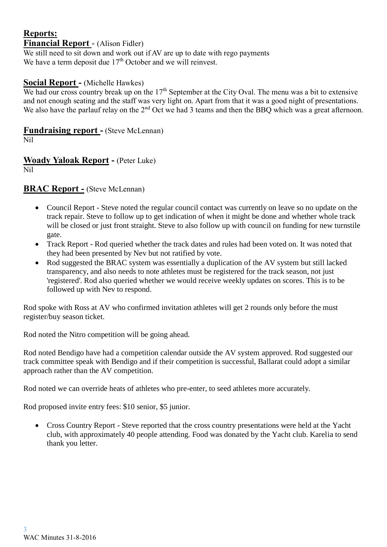#### **Reports: Financial Report** - (Alison Fidler)

We still need to sit down and work out if AV are up to date with rego payments We have a term deposit due  $17<sup>th</sup>$  October and we will reinvest.

### **Social Report -** (Michelle Hawkes)

We had our cross country break up on the  $17<sup>th</sup>$  September at the City Oval. The menu was a bit to extensive and not enough seating and the staff was very light on. Apart from that it was a good night of presentations. We also have the parlauf relay on the 2<sup>nd</sup> Oct we had 3 teams and then the BBQ which was a great afternoon.

# **Fundraising report -** (Steve McLennan)

Nil

#### **Woady Yaloak Report -** (Peter Luke) Nil

# **BRAC Report -** (Steve McLennan)

- Council Report Steve noted the regular council contact was currently on leave so no update on the track repair. Steve to follow up to get indication of when it might be done and whether whole track will be closed or just front straight. Steve to also follow up with council on funding for new turnstile gate.
- Track Report Rod queried whether the track dates and rules had been voted on. It was noted that they had been presented by Nev but not ratified by vote.
- Rod suggested the BRAC system was essentially a duplication of the AV system but still lacked transparency, and also needs to note athletes must be registered for the track season, not just 'registered'. Rod also queried whether we would receive weekly updates on scores. This is to be followed up with Nev to respond.

Rod spoke with Ross at AV who confirmed invitation athletes will get 2 rounds only before the must register/buy season ticket.

Rod noted the Nitro competition will be going ahead.

Rod noted Bendigo have had a competition calendar outside the AV system approved. Rod suggested our track committee speak with Bendigo and if their competition is successful, Ballarat could adopt a similar approach rather than the AV competition.

Rod noted we can override heats of athletes who pre-enter, to seed athletes more accurately.

Rod proposed invite entry fees: \$10 senior, \$5 junior.

 Cross Country Report - Steve reported that the cross country presentations were held at the Yacht club, with approximately 40 people attending. Food was donated by the Yacht club. Karelia to send thank you letter.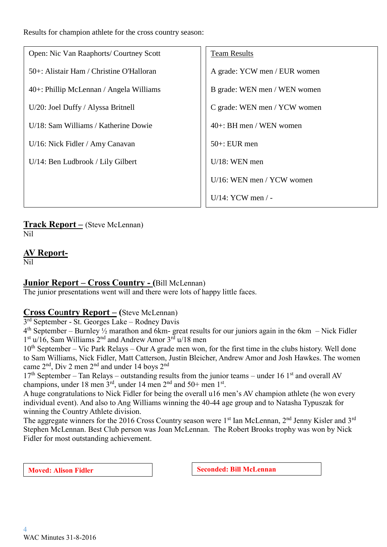Results for champion athlete for the cross country season:

Open: Nic Van Raaphorts/ Courtney Scott 50+: Alistair Ham / Christine O'Halloran 40+: Phillip McLennan / Angela Williams U/20: Joel Duffy / Alyssa Britnell U/18: Sam Williams / Katherine Dowie U/16: Nick Fidler / Amy Canavan U/14: Ben Ludbrook / Lily Gilbert

#### Team Results

A grade: YCW men / EUR women B grade: WEN men / WEN women C grade: WEN men / YCW women 40+: BH men / WEN women 50+: EUR men U/18: WEN men U/16: WEN men / YCW women U/14: YCW men / -

**Track Report –** (Steve McLennan) Nil

**AV Report-**

Nil

## **Junior Report – Cross Country - (**Bill McLennan)

The junior presentations went will and there were lots of happy little faces.

## **Cross Co**u**ntry Report – (**Steve McLennan)

3<sup>rd</sup> September - St. Georges Lake - Rodney Davis

 $4<sup>th</sup>$  September – Burnley  $\frac{1}{2}$  marathon and 6km- great results for our juniors again in the 6km – Nick Fidler 1<sup>st</sup> u/16, Sam Williams 2<sup>nd</sup> and Andrew Amor 3<sup>rd</sup> u/18 men

 $10<sup>th</sup>$  September – Vic Park Relays – Our A grade men won, for the first time in the clubs history. Well done to Sam Williams, Nick Fidler, Matt Catterson, Justin Bleicher, Andrew Amor and Josh Hawkes. The women came 2<sup>nd</sup>, Div 2 men 2<sup>nd</sup> and under 14 boys 2<sup>nd</sup>

 $17<sup>th</sup>$  September – Tan Relays – outstanding results from the junior teams – under 16 1<sup>st</sup> and overall AV champions, under 18 men  $3<sup>rd</sup>$ , under 14 men  $2<sup>nd</sup>$  and  $50+$  men  $1<sup>st</sup>$ .

A huge congratulations to Nick Fidler for being the overall u16 men's AV champion athlete (he won every individual event). And also to Ang Williams winning the 40-44 age group and to Natasha Typuszak for winning the Country Athlete division.

The aggregate winners for the 2016 Cross Country season were 1<sup>st</sup> Ian McLennan, 2<sup>nd</sup> Jenny Kisler and 3<sup>rd</sup> Stephen McLennan. Best Club person was Joan McLennan. The Robert Brooks trophy was won by Nick Fidler for most outstanding achievement.

**Moved:** Alison Fidler **Seconded:** Bill McLennan